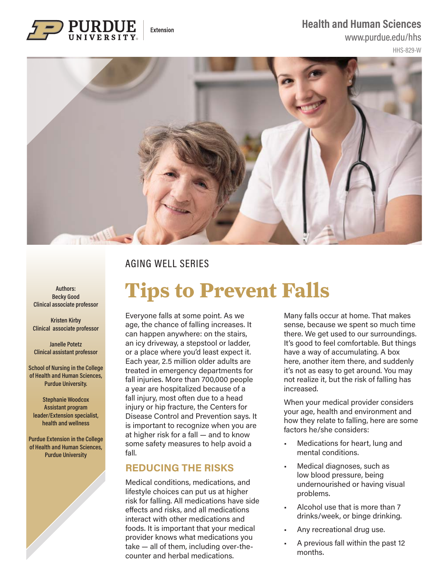### **Health and Human Sciences**

Extension

www.purdue.edu/hhs

HHS-829-W



## AGING WELL SERIES

**Authors: Becky Good Clinical associate professor**

**Kristen Kirby Clinical associate professor**

**Janelle Potetz Clinical assistant professor**

**School of Nursing in the College of Health and Human Sciences, Purdue University.** 

**Stephanie Woodcox Assistant program leader/Extension specialist, health and wellness**

**Purdue Extension in the College of Health and Human Sciences, Purdue University**

# **Tips to Prevent Falls**

Everyone falls at some point. As we age, the chance of falling increases. It can happen anywhere: on the stairs, an icy driveway, a stepstool or ladder, or a place where you'd least expect it. Each year, 2.5 million older adults are treated in emergency departments for fall injuries. More than 700,000 people a year are hospitalized because of a fall injury, most often due to a head injury or hip fracture, the Centers for Disease Control and Prevention says. It is important to recognize when you are at higher risk for a fall — and to know some safety measures to help avoid a fall.

## **REDUCING THE RISKS**

Medical conditions, medications, and lifestyle choices can put us at higher risk for falling. All medications have side effects and risks, and all medications interact with other medications and foods. It is important that your medical provider knows what medications you take — all of them, including over-thecounter and herbal medications.

Many falls occur at home. That makes sense, because we spent so much time there. We get used to our surroundings. It's good to feel comfortable. But things have a way of accumulating. A box here, another item there, and suddenly it's not as easy to get around. You may not realize it, but the risk of falling has increased.

When your medical provider considers your age, health and environment and how they relate to falling, here are some factors he/she considers:

- Medications for heart, lung and mental conditions.
- Medical diagnoses, such as low blood pressure, being undernourished or having visual problems.
- Alcohol use that is more than 7 drinks/week, or binge drinking.
- Any recreational drug use.
- A previous fall within the past 12 months.